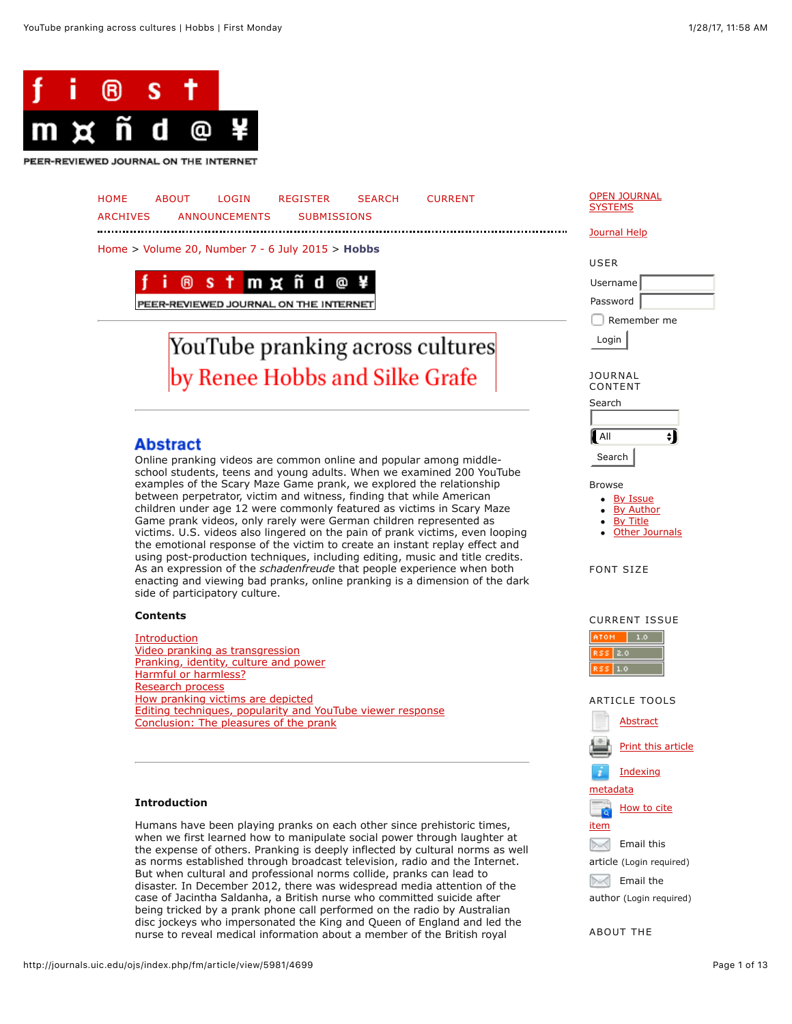

PEER-REVIEWED JOURNAL ON THE INTERNET

| <b>HOME</b><br>ARCHIVES | <b>ABOUT</b> | LOGIN<br>ANNOUNCEMENTS | <b>REGISTER</b><br><b>SUBMISSIONS</b>              | <b>SFARCH</b> | <b>CURRENT</b> | <b>OPEN JOURNAL</b><br><b>SYSTEMS</b> |
|-------------------------|--------------|------------------------|----------------------------------------------------|---------------|----------------|---------------------------------------|
|                         |              |                        | Home > Volume 20, Number $7 - 6$ July 2015 > Hobbs |               |                | Journal Help                          |
|                         |              |                        |                                                    |               |                | <b>USER</b>                           |
|                         | f i          |                        | ® s † m ¤ ñ d @ ¥                                  |               |                | Username                              |
|                         |              |                        | PEER-REVIEWED JOURNAL ON THE INTERNET              |               |                | Password                              |
|                         |              |                        |                                                    |               |                | Domambor m                            |

# YouTube pranking across cultures by Renee Hobbs and Silke Grafe

## **Abstract**

Online pranking videos are common online and popular among middleschool students, teens and young adults. When we examined 200 YouTube examples of the Scary Maze Game prank, we explored the relationship between perpetrator, victim and witness, finding that while American children under age 12 were commonly featured as victims in Scary Maze Game prank videos, only rarely were German children represented as victims. U.S. videos also lingered on the pain of prank victims, even looping the emotional response of the victim to create an instant replay effect and using post-production techniques, including editing, music and title credits. As an expression of the *schadenfreude* that people experience when both [enacting and viewing bad pranks, online pranking is a dimension of the dark](javascript:void(0);) side of participatory culture.

#### **Contents**

[Introduction](http://journals.uic.edu/ojs/index.php/fm/article/view/5981/4699#p1) [Video pranking as transgression](http://journals.uic.edu/ojs/index.php/fm/article/view/5981/4699#p2) [Pranking, identity, culture and power](http://journals.uic.edu/ojs/index.php/fm/article/view/5981/4699#p3) [Harmful or harmless?](http://journals.uic.edu/ojs/index.php/fm/article/view/5981/4699#p4) [Research process](http://journals.uic.edu/ojs/index.php/fm/article/view/5981/4699#p5) [How pranking victims are depicted](http://journals.uic.edu/ojs/index.php/fm/article/view/5981/4699#p6) [Editing techniques, popularity and YouTube viewer response](http://journals.uic.edu/ojs/index.php/fm/article/view/5981/4699#p7) [Conclusion: The pleasures of the prank](http://journals.uic.edu/ojs/index.php/fm/article/view/5981/4699#p8)

### **Introduction**

Humans have been playing pranks on each other since prehistoric times, when we first learned how to manipulate social power through laughter at the expense of others. Pranking is deeply inflected by cultural norms as well as norms established through broadcast television, radio and the Internet. But when cultural and professional norms collide, pranks can lead to disaster. In December 2012, there was widespread media attention of the case of Jacintha Saldanha, a British nurse who committed suicide after being tricked by a prank phone call performed on the radio by Australian disc jockeys who impersonated the King and Queen of England and led the nurse to reveal medical information about a member of the British royal



FONT SIZE

| CURRENT ISSUE |     |     |  |  |  |
|---------------|-----|-----|--|--|--|
| ATOM          |     | 1.0 |  |  |  |
| RSS.          | 2.0 |     |  |  |  |
| RSS.          | 1,0 |     |  |  |  |
| ARTICLE TOOLS |     |     |  |  |  |



ABOUT THE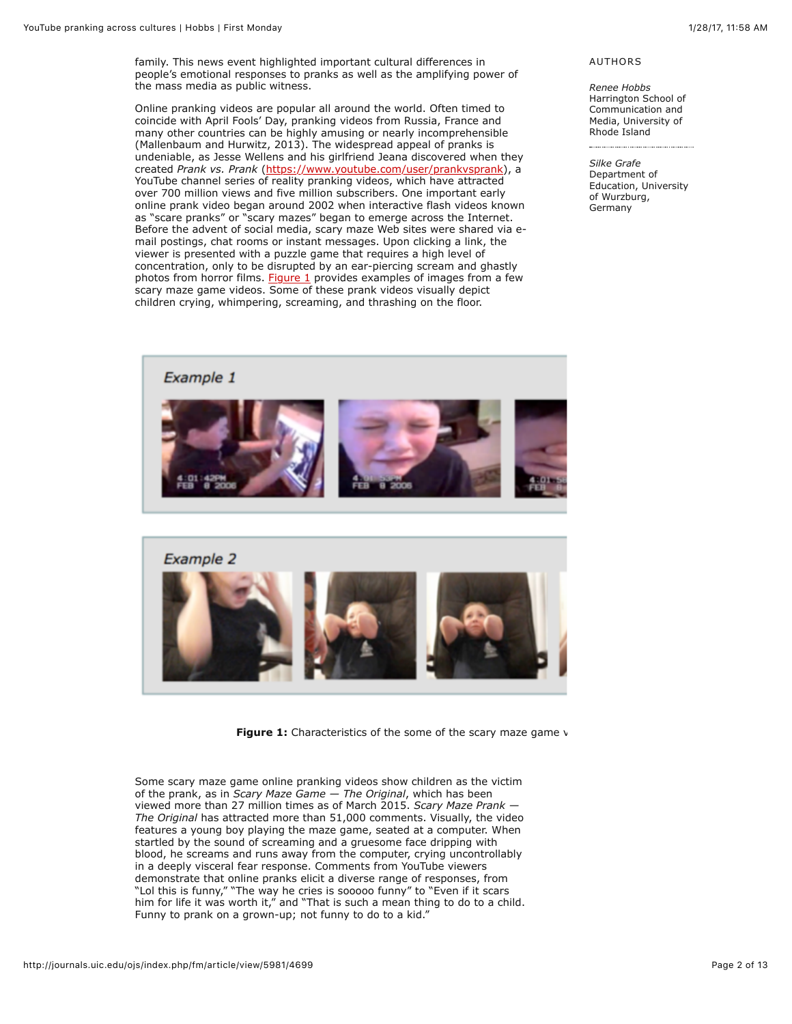family. This news event highlighted important cultural differences in people's emotional responses to pranks as well as the amplifying power of the mass media as public witness.

Online pranking videos are popular all around the world. Often timed to coincide with April Fools' Day, pranking videos from Russia, France and many other countries can be highly amusing or nearly incomprehensible (Mallenbaum and Hurwitz, 2013). The widespread appeal of pranks is undeniable, as Jesse Wellens and his girlfriend Jeana discovered when they created *Prank vs. Prank* (<https://www.youtube.com/user/prankvsprank>), a YouTube channel series of reality pranking videos, which have attracted over 700 million views and five million subscribers. One important early online prank video began around 2002 when interactive flash videos known as "scare pranks" or "scary mazes" began to emerge across the Internet. Before the advent of social media, scary maze Web sites were shared via email postings, chat rooms or instant messages. Upon clicking a link, the viewer is presented with a puzzle game that requires a high level of concentration, only to be disrupted by an ear-piercing scream and ghastly photos from horror films. [Figure 1](http://journals.uic.edu/ojs/index.php/fm/article/view/5981/4699#fig1) provides examples of images from a few scary maze game videos. Some of these prank videos visually depict children crying, whimpering, screaming, and thrashing on the floor.





**Figure 1:** Characteristics of the some of the scary maze game v

Some scary maze game online pranking videos show children as the victim of the prank, as in *Scary Maze Game — The Original*, which has been viewed more than 27 million times as of March 2015. *Scary Maze Prank — The Original* has attracted more than 51,000 comments. Visually, the video features a young boy playing the maze game, seated at a computer. When startled by the sound of screaming and a gruesome face dripping with blood, he screams and runs away from the computer, crying uncontrollably in a deeply visceral fear response. Comments from YouTube viewers demonstrate that online pranks elicit a diverse range of responses, from "Lol this is funny," "The way he cries is sooooo funny" to "Even if it scars him for life it was worth it," and "That is such a mean thing to do to a child. Funny to prank on a grown-up; not funny to do to a kid."

## AUTHORS

*Renee Hobbs* Harrington School of Communication and Media, University of Rhode Island

*Silke Grafe* Department of Education, University of Wurzburg, Germany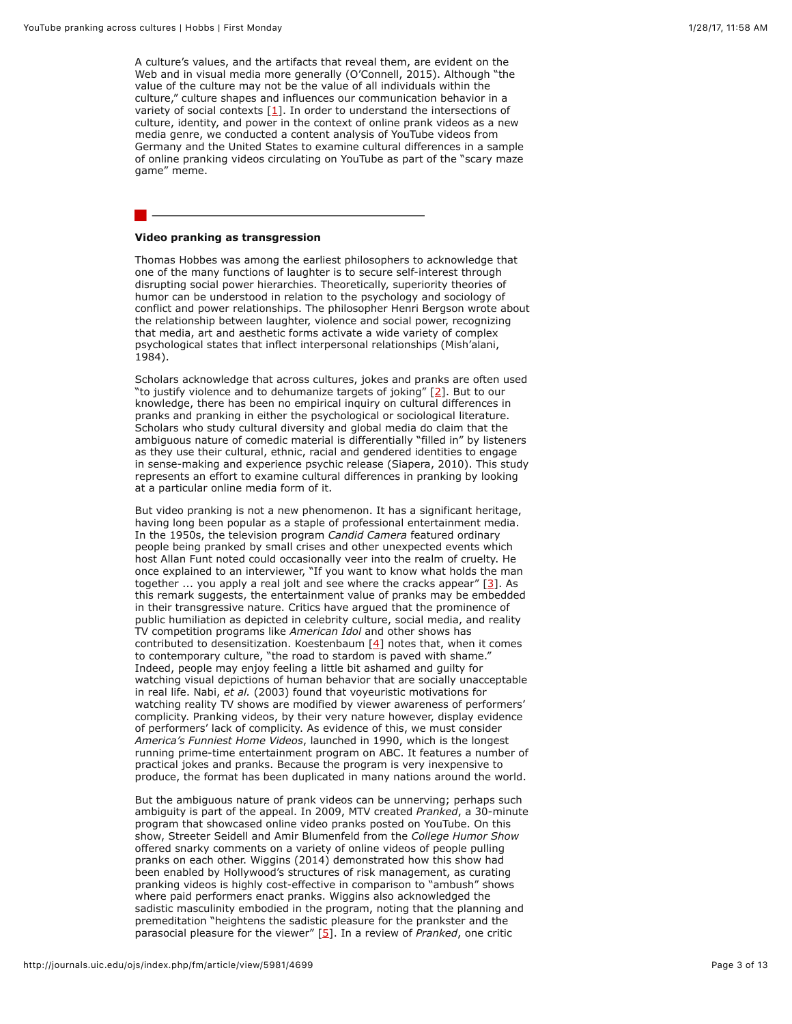A culture's values, and the artifacts that reveal them, are evident on the Web and in visual media more generally (O'Connell, 2015). Although "the value of the culture may not be the value of all individuals within the culture," culture shapes and influences our communication behavior in a variety of social contexts  $[1]$  $[1]$ . In order to understand the intersections of culture, identity, and power in the context of online prank videos as a new media genre, we conducted a content analysis of YouTube videos from Germany and the United States to examine cultural differences in a sample of online pranking videos circulating on YouTube as part of the "scary maze game" meme.

#### **Video pranking as transgression**

Thomas Hobbes was among the earliest philosophers to acknowledge that one of the many functions of laughter is to secure self-interest through disrupting social power hierarchies. Theoretically, superiority theories of humor can be understood in relation to the psychology and sociology of conflict and power relationships. The philosopher Henri Bergson wrote about the relationship between laughter, violence and social power, recognizing that media, art and aesthetic forms activate a wide variety of complex psychological states that inflect interpersonal relationships (Mish'alani, 1984).

Scholars acknowledge that across cultures, jokes and pranks are often used "to justify violence and to dehumanize targets of joking" [\[2](http://journals.uic.edu/ojs/index.php/fm/article/view/5981/4699#2)]. But to our knowledge, there has been no empirical inquiry on cultural differences in pranks and pranking in either the psychological or sociological literature. Scholars who study cultural diversity and global media do claim that the ambiguous nature of comedic material is differentially "filled in" by listeners as they use their cultural, ethnic, racial and gendered identities to engage in sense-making and experience psychic release (Siapera, 2010). This study represents an effort to examine cultural differences in pranking by looking at a particular online media form of it.

But video pranking is not a new phenomenon. It has a significant heritage, having long been popular as a staple of professional entertainment media. In the 1950s, the television program *Candid Camera* featured ordinary people being pranked by small crises and other unexpected events which host Allan Funt noted could occasionally veer into the realm of cruelty. He once explained to an interviewer, "If you want to know what holds the man together  $\ldots$  you apply a real jolt and see where the cracks appear" [[3\]](http://journals.uic.edu/ojs/index.php/fm/article/view/5981/4699#3). As this remark suggests, the entertainment value of pranks may be embedded in their transgressive nature. Critics have argued that the prominence of public humiliation as depicted in celebrity culture, social media, and reality TV competition programs like *American Idol* and other shows has contributed to desensitization. Koestenbaum  $[4]$  $[4]$  notes that, when it comes to contemporary culture, "the road to stardom is paved with shame." Indeed, people may enjoy feeling a little bit ashamed and guilty for watching visual depictions of human behavior that are socially unacceptable in real life. Nabi, *et al.* (2003) found that voyeuristic motivations for watching reality TV shows are modified by viewer awareness of performers' complicity. Pranking videos, by their very nature however, display evidence of performers' lack of complicity. As evidence of this, we must consider *America's Funniest Home Videos*, launched in 1990, which is the longest running prime-time entertainment program on ABC. It features a number of practical jokes and pranks. Because the program is very inexpensive to produce, the format has been duplicated in many nations around the world.

But the ambiguous nature of prank videos can be unnerving; perhaps such ambiguity is part of the appeal. In 2009, MTV created *Pranked*, a 30-minute program that showcased online video pranks posted on YouTube. On this show, Streeter Seidell and Amir Blumenfeld from the *College Humor Show* offered snarky comments on a variety of online videos of people pulling pranks on each other. Wiggins (2014) demonstrated how this show had been enabled by Hollywood's structures of risk management, as curating pranking videos is highly cost-effective in comparison to "ambush" shows where paid performers enact pranks. Wiggins also acknowledged the sadistic masculinity embodied in the program, noting that the planning and premeditation "heightens the sadistic pleasure for the prankster and the parasocial pleasure for the viewer" [\[5](http://journals.uic.edu/ojs/index.php/fm/article/view/5981/4699#5)]. In a review of *Pranked*, one critic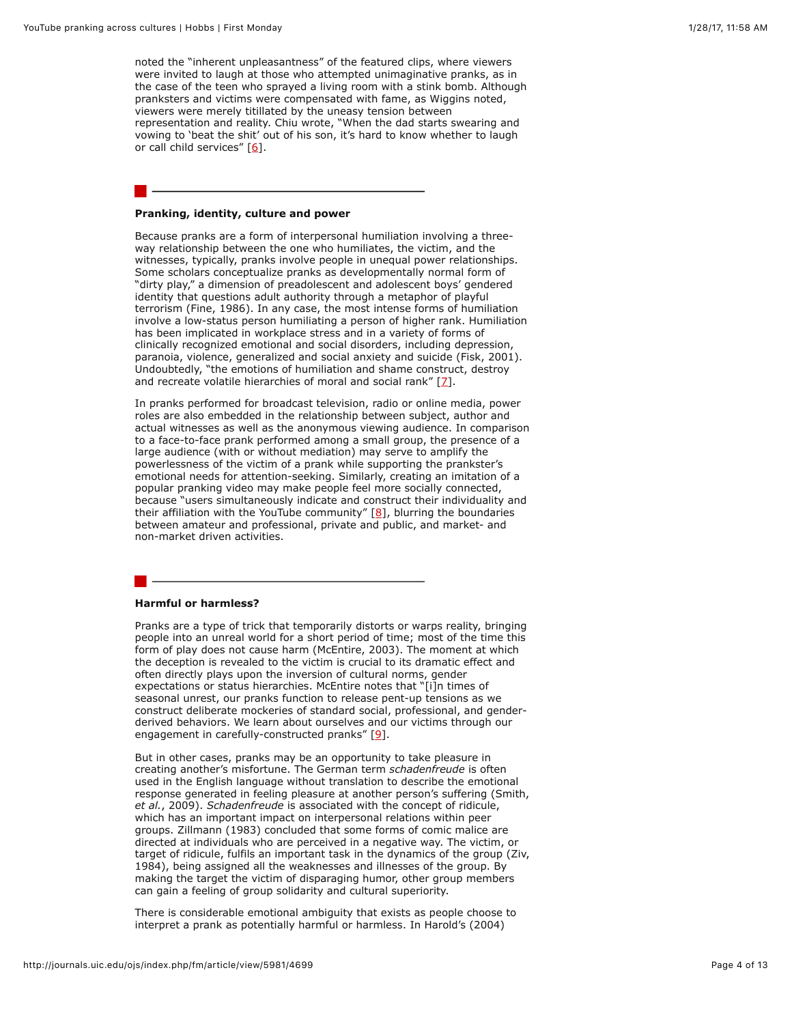noted the "inherent unpleasantness" of the featured clips, where viewers were invited to laugh at those who attempted unimaginative pranks, as in the case of the teen who sprayed a living room with a stink bomb. Although pranksters and victims were compensated with fame, as Wiggins noted, viewers were merely titillated by the uneasy tension between representation and reality. Chiu wrote, "When the dad starts swearing and vowing to 'beat the shit' out of his son, it's hard to know whether to laugh or call child services" [\[6](http://journals.uic.edu/ojs/index.php/fm/article/view/5981/4699#6)].

#### **Pranking, identity, culture and power**

Because pranks are a form of interpersonal humiliation involving a threeway relationship between the one who humiliates, the victim, and the witnesses, typically, pranks involve people in unequal power relationships. Some scholars conceptualize pranks as developmentally normal form of "dirty play," a dimension of preadolescent and adolescent boys' gendered identity that questions adult authority through a metaphor of playful terrorism (Fine, 1986). In any case, the most intense forms of humiliation involve a low-status person humiliating a person of higher rank. Humiliation has been implicated in workplace stress and in a variety of forms of clinically recognized emotional and social disorders, including depression, paranoia, violence, generalized and social anxiety and suicide (Fisk, 2001). Undoubtedly, "the emotions of humiliation and shame construct, destroy and recreate volatile hierarchies of moral and social rank"  $[2]$ .

In pranks performed for broadcast television, radio or online media, power roles are also embedded in the relationship between subject, author and actual witnesses as well as the anonymous viewing audience. In comparison to a face-to-face prank performed among a small group, the presence of a large audience (with or without mediation) may serve to amplify the powerlessness of the victim of a prank while supporting the prankster's emotional needs for attention-seeking. Similarly, creating an imitation of a popular pranking video may make people feel more socially connected, because "users simultaneously indicate and construct their individuality and their affiliation with the YouTube community"  $[8]$  $[8]$ , blurring the boundaries between amateur and professional, private and public, and market- and non-market driven activities.

#### **Harmful or harmless?**

Pranks are a type of trick that temporarily distorts or warps reality, bringing people into an unreal world for a short period of time; most of the time this form of play does not cause harm (McEntire, 2003). The moment at which the deception is revealed to the victim is crucial to its dramatic effect and often directly plays upon the inversion of cultural norms, gender expectations or status hierarchies. McEntire notes that "[i]n times of seasonal unrest, our pranks function to release pent-up tensions as we construct deliberate mockeries of standard social, professional, and genderderived behaviors. We learn about ourselves and our victims through our engagement in carefully-constructed pranks" [\[9](http://journals.uic.edu/ojs/index.php/fm/article/view/5981/4699#9)].

But in other cases, pranks may be an opportunity to take pleasure in creating another's misfortune. The German term *schadenfreude* is often used in the English language without translation to describe the emotional response generated in feeling pleasure at another person's suffering (Smith, *et al.*, 2009). *Schadenfreude* is associated with the concept of ridicule, which has an important impact on interpersonal relations within peer groups. Zillmann (1983) concluded that some forms of comic malice are directed at individuals who are perceived in a negative way. The victim, or target of ridicule, fulfils an important task in the dynamics of the group (Ziv, 1984), being assigned all the weaknesses and illnesses of the group. By making the target the victim of disparaging humor, other group members can gain a feeling of group solidarity and cultural superiority.

There is considerable emotional ambiguity that exists as people choose to interpret a prank as potentially harmful or harmless. In Harold's (2004)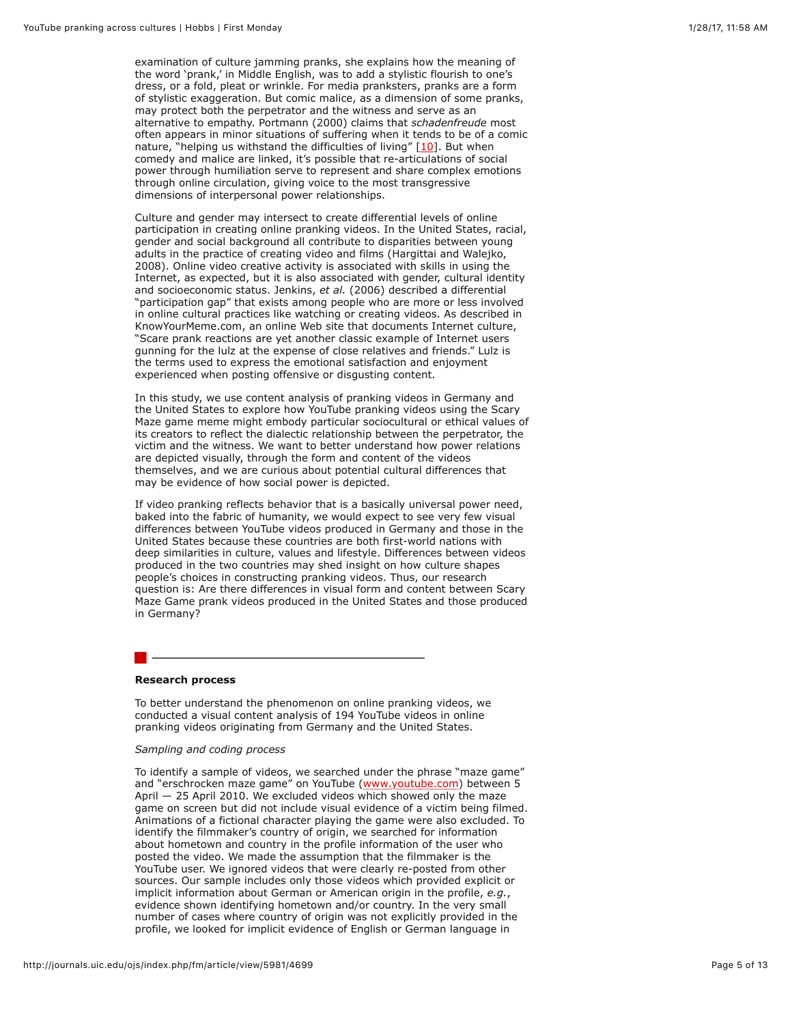examination of culture jamming pranks, she explains how the meaning of the word 'prank,' in Middle English, was to add a stylistic flourish to one's dress, or a fold, pleat or wrinkle. For media pranksters, pranks are a form of stylistic exaggeration. But comic malice, as a dimension of some pranks, may protect both the perpetrator and the witness and serve as an alternative to empathy. Portmann (2000) claims that *schadenfreude* most often appears in minor situations of suffering when it tends to be of a comic nature, "helping us withstand the difficulties of living" [\[10\]](http://journals.uic.edu/ojs/index.php/fm/article/view/5981/4699#10). But when comedy and malice are linked, it's possible that re-articulations of social power through humiliation serve to represent and share complex emotions through online circulation, giving voice to the most transgressive dimensions of interpersonal power relationships.

Culture and gender may intersect to create differential levels of online participation in creating online pranking videos. In the United States, racial, gender and social background all contribute to disparities between young adults in the practice of creating video and films (Hargittai and Walejko, 2008). Online video creative activity is associated with skills in using the Internet, as expected, but it is also associated with gender, cultural identity and socioeconomic status. Jenkins, *et al.* (2006) described a differential "participation gap" that exists among people who are more or less involved in online cultural practices like watching or creating videos. As described in KnowYourMeme.com, an online Web site that documents Internet culture, "Scare prank reactions are yet another classic example of Internet users gunning for the lulz at the expense of close relatives and friends." Lulz is the terms used to express the emotional satisfaction and enjoyment experienced when posting offensive or disgusting content.

In this study, we use content analysis of pranking videos in Germany and the United States to explore how YouTube pranking videos using the Scary Maze game meme might embody particular sociocultural or ethical values of its creators to reflect the dialectic relationship between the perpetrator, the victim and the witness. We want to better understand how power relations are depicted visually, through the form and content of the videos themselves, and we are curious about potential cultural differences that may be evidence of how social power is depicted.

If video pranking reflects behavior that is a basically universal power need, baked into the fabric of humanity, we would expect to see very few visual differences between YouTube videos produced in Germany and those in the United States because these countries are both first-world nations with deep similarities in culture, values and lifestyle. Differences between videos produced in the two countries may shed insight on how culture shapes people's choices in constructing pranking videos. Thus, our research question is: Are there differences in visual form and content between Scary Maze Game prank videos produced in the United States and those produced in Germany?

#### **Research process**

To better understand the phenomenon on online pranking videos, we conducted a visual content analysis of 194 YouTube videos in online pranking videos originating from Germany and the United States.

#### *Sampling and coding process*

To identify a sample of videos, we searched under the phrase "maze game" and "erschrocken maze game" on YouTube ([www.youtube.com\)](http://www.youtube.com/) between 5 April — 25 April 2010. We excluded videos which showed only the maze game on screen but did not include visual evidence of a victim being filmed. Animations of a fictional character playing the game were also excluded. To identify the filmmaker's country of origin, we searched for information about hometown and country in the profile information of the user who posted the video. We made the assumption that the filmmaker is the YouTube user. We ignored videos that were clearly re-posted from other sources. Our sample includes only those videos which provided explicit or implicit information about German or American origin in the profile, *e.g.*, evidence shown identifying hometown and/or country. In the very small number of cases where country of origin was not explicitly provided in the profile, we looked for implicit evidence of English or German language in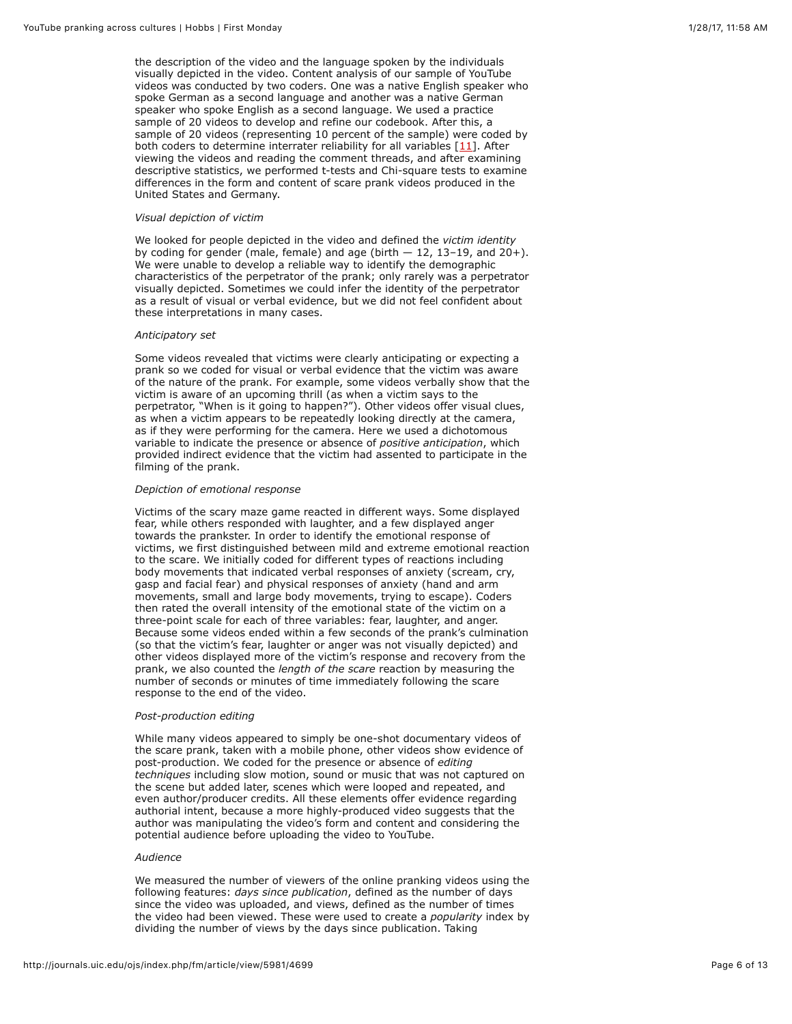the description of the video and the language spoken by the individuals visually depicted in the video. Content analysis of our sample of YouTube videos was conducted by two coders. One was a native English speaker who spoke German as a second language and another was a native German speaker who spoke English as a second language. We used a practice sample of 20 videos to develop and refine our codebook. After this, a sample of 20 videos (representing 10 percent of the sample) were coded by both coders to determine interrater reliability for all variables  $[11]$  $[11]$ . After viewing the videos and reading the comment threads, and after examining descriptive statistics, we performed t-tests and Chi-square tests to examine differences in the form and content of scare prank videos produced in the United States and Germany.

#### *Visual depiction of victim*

We looked for people depicted in the video and defined the *victim identity* by coding for gender (male, female) and age (birth  $-12$ , 13-19, and 20+). We were unable to develop a reliable way to identify the demographic characteristics of the perpetrator of the prank; only rarely was a perpetrator visually depicted. Sometimes we could infer the identity of the perpetrator as a result of visual or verbal evidence, but we did not feel confident about these interpretations in many cases.

#### *Anticipatory set*

Some videos revealed that victims were clearly anticipating or expecting a prank so we coded for visual or verbal evidence that the victim was aware of the nature of the prank. For example, some videos verbally show that the victim is aware of an upcoming thrill (as when a victim says to the perpetrator, "When is it going to happen?"). Other videos offer visual clues, as when a victim appears to be repeatedly looking directly at the camera, as if they were performing for the camera. Here we used a dichotomous variable to indicate the presence or absence of *positive anticipation*, which provided indirect evidence that the victim had assented to participate in the filming of the prank.

#### *Depiction of emotional response*

Victims of the scary maze game reacted in different ways. Some displayed fear, while others responded with laughter, and a few displayed anger towards the prankster. In order to identify the emotional response of victims, we first distinguished between mild and extreme emotional reaction to the scare. We initially coded for different types of reactions including body movements that indicated verbal responses of anxiety (scream, cry, gasp and facial fear) and physical responses of anxiety (hand and arm movements, small and large body movements, trying to escape). Coders then rated the overall intensity of the emotional state of the victim on a three-point scale for each of three variables: fear, laughter, and anger. Because some videos ended within a few seconds of the prank's culmination (so that the victim's fear, laughter or anger was not visually depicted) and other videos displayed more of the victim's response and recovery from the prank, we also counted the *length of the scare* reaction by measuring the number of seconds or minutes of time immediately following the scare response to the end of the video.

#### *Post-production editing*

While many videos appeared to simply be one-shot documentary videos of the scare prank, taken with a mobile phone, other videos show evidence of post-production. We coded for the presence or absence of *editing techniques* including slow motion, sound or music that was not captured on the scene but added later, scenes which were looped and repeated, and even author/producer credits. All these elements offer evidence regarding authorial intent, because a more highly-produced video suggests that the author was manipulating the video's form and content and considering the potential audience before uploading the video to YouTube.

#### *Audience*

We measured the number of viewers of the online pranking videos using the following features: *days since publication*, defined as the number of days since the video was uploaded, and views, defined as the number of times the video had been viewed. These were used to create a *popularity* index by dividing the number of views by the days since publication. Taking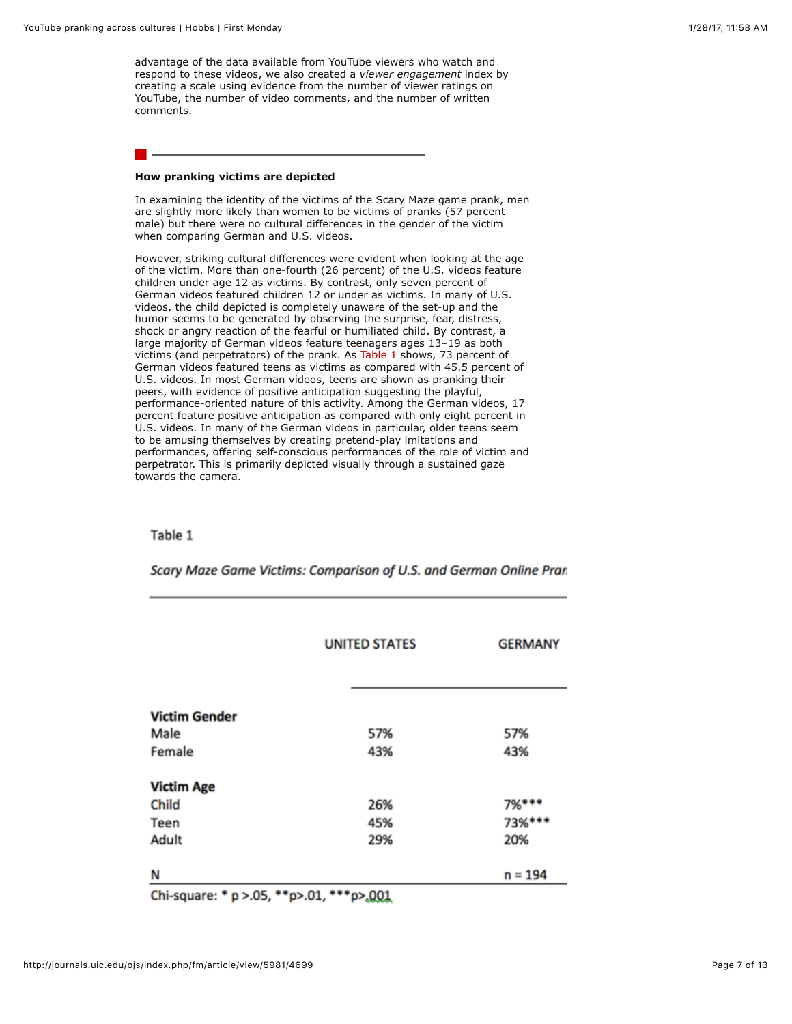advantage of the data available from YouTube viewers who watch and respond to these videos, we also created a *viewer engagement* index by creating a scale using evidence from the number of viewer ratings on YouTube, the number of video comments, and the number of written comments.

#### **How pranking victims are depicted**

In examining the identity of the victims of the Scary Maze game prank, men are slightly more likely than women to be victims of pranks (57 percent male) but there were no cultural differences in the gender of the victim when comparing German and U.S. videos.

However, striking cultural differences were evident when looking at the age of the victim. More than one-fourth (26 percent) of the U.S. videos feature children under age 12 as victims. By contrast, only seven percent of German videos featured children 12 or under as victims. In many of U.S. videos, the child depicted is completely unaware of the set-up and the humor seems to be generated by observing the surprise, fear, distress, shock or angry reaction of the fearful or humiliated child. By contrast, a large majority of German videos feature teenagers ages 13–19 as both victims (and perpetrators) of the prank. As [Table 1](http://journals.uic.edu/ojs/index.php/fm/article/view/5981/4699#tab1) shows, 73 percent of German videos featured teens as victims as compared with 45.5 percent of U.S. videos. In most German videos, teens are shown as pranking their peers, with evidence of positive anticipation suggesting the playful, performance-oriented nature of this activity. Among the German videos, 17 percent feature positive anticipation as compared with only eight percent in U.S. videos. In many of the German videos in particular, older teens seem to be amusing themselves by creating pretend-play imitations and performances, offering self-conscious performances of the role of victim and perpetrator. This is primarily depicted visually through a sustained gaze towards the camera.

## Table 1

Scary Maze Game Victims: Comparison of U.S. and German Online Pran

|                      | <b>UNITED STATES</b> | <b>GERMANY</b> |
|----------------------|----------------------|----------------|
| <b>Victim Gender</b> |                      |                |
| Male                 | 57%                  | 57%            |
| Female               | 43%                  | 43%            |
| <b>Victim Age</b>    |                      |                |
| Child                | 26%                  | 7%***          |
| Teen                 | 45%                  | 73% ***        |
| Adult                | 29%                  | 20%            |
| N                    |                      | $n = 194$      |

Chi-square: \* p >.05, \*\*p>.01, \*\*\*p>.001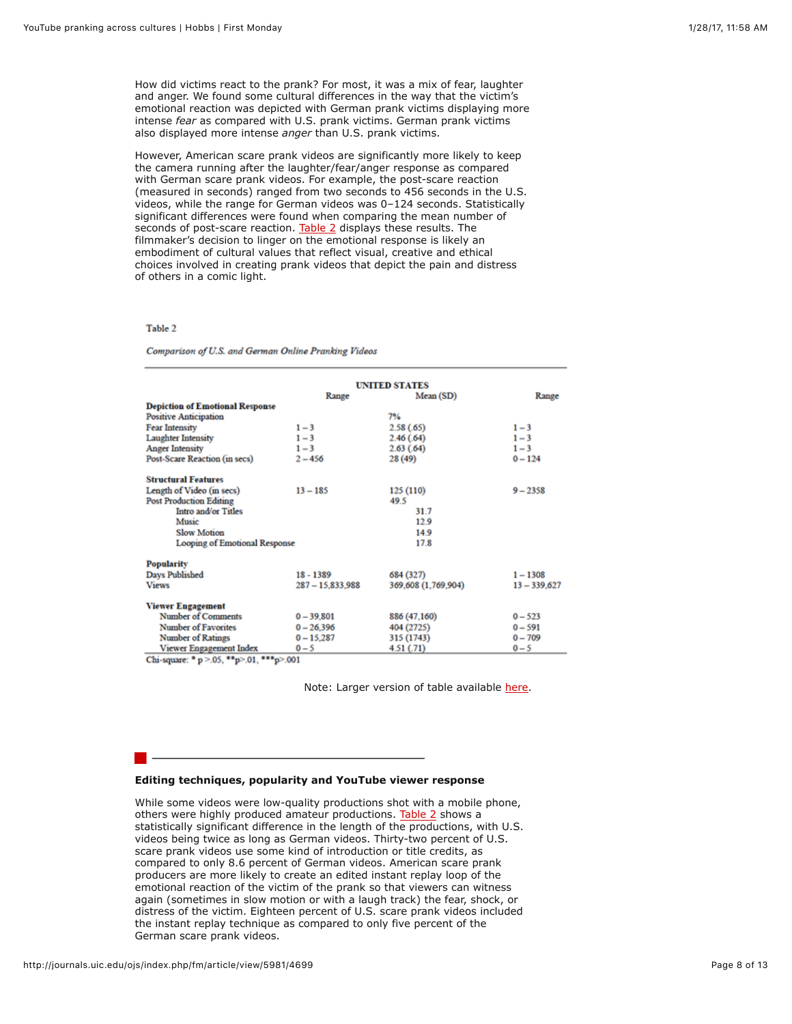How did victims react to the prank? For most, it was a mix of fear, laughter and anger. We found some cultural differences in the way that the victim's emotional reaction was depicted with German prank victims displaying more intense *fear* as compared with U.S. prank victims. German prank victims also displayed more intense *anger* than U.S. prank victims.

However, American scare prank videos are significantly more likely to keep the camera running after the laughter/fear/anger response as compared with German scare prank videos. For example, the post-scare reaction (measured in seconds) ranged from two seconds to 456 seconds in the U.S. videos, while the range for German videos was 0–124 seconds. Statistically significant differences were found when comparing the mean number of seconds of post-scare reaction. [Table 2](http://journals.uic.edu/ojs/index.php/fm/article/view/5981/4699#tab2) displays these results. The filmmaker's decision to linger on the emotional response is likely an embodiment of cultural values that reflect visual, creative and ethical choices involved in creating prank videos that depict the pain and distress of others in a comic light.

#### Table 2

Comparison of U.S. and German Online Pranking Videos

|                                        | <b>UNITED STATES</b> |                     |                |  |  |  |
|----------------------------------------|----------------------|---------------------|----------------|--|--|--|
|                                        | Range                | Mean (SD)           | Range          |  |  |  |
| <b>Depiction of Emotional Response</b> |                      |                     |                |  |  |  |
| <b>Positive Anticipation</b>           |                      | 7%                  |                |  |  |  |
| <b>Fear Intensity</b>                  | $1 - 3$              | 2.58(.65)           | $1 - 3$        |  |  |  |
| <b>Laughter Intensity</b>              | $1 - 3$              | 2.46(.64)           | $1 - 3$        |  |  |  |
| <b>Anger Intensity</b>                 | $1 - 3$              | 2.63(.64)           | $1 - 3$        |  |  |  |
| Post-Scare Reaction (in secs)          | $2 - 456$            | 28 (49)             | $0 - 124$      |  |  |  |
| <b>Structural Features</b>             |                      |                     |                |  |  |  |
| Length of Video (in secs)              | $13 - 185$           | 125 (110)           | $9 - 2358$     |  |  |  |
| <b>Post Production Editing</b>         |                      | 49.5                |                |  |  |  |
| Intro and/or Titles                    |                      | 31.7                |                |  |  |  |
| Music                                  |                      | 12.9                |                |  |  |  |
| <b>Slow Motion</b>                     |                      | 149                 |                |  |  |  |
| Looping of Emotional Response          |                      | 17.8                |                |  |  |  |
| <b>Popularity</b>                      |                      |                     |                |  |  |  |
| Days Published                         | 18 - 1389            | 684 (327)           | $1 - 1308$     |  |  |  |
| <b>Views</b>                           | $287 - 15,833,988$   | 369,608 (1,769,904) | $13 - 339,627$ |  |  |  |
| <b>Viewer Engagement</b>               |                      |                     |                |  |  |  |
| <b>Number of Comments</b>              | $0 - 39,801$         | 886 (47,160)        | $0 - 523$      |  |  |  |
| <b>Number of Favorites</b>             | $0 - 26,396$         | 404 (2725)          | $0 - 591$      |  |  |  |
| Number of Ratings                      | $0 - 15,287$         | 315 (1743)          | $0 - 709$      |  |  |  |
| Viewer Engagement Index                | $0 - 5$              | 4.51(.71)           | $0 - 5$        |  |  |  |
| のもし ここここここ あしこう めの 直接についのも、直接あしていののも   |                      |                     |                |  |  |  |

"p>.001 u-square: \* p > 05, \*\*p> 01, '

Note: Larger version of table available [here](http://journals.uic.edu/ojs/index.php/fm/article/viewFile/5981/4699/44026).

#### **Editing techniques, popularity and YouTube viewer response**

While some videos were low-quality productions shot with a mobile phone, others were highly produced amateur productions. [Table 2](http://journals.uic.edu/ojs/index.php/fm/article/view/5981/4699#tab2) shows a statistically significant difference in the length of the productions, with U.S. videos being twice as long as German videos. Thirty-two percent of U.S. scare prank videos use some kind of introduction or title credits, as compared to only 8.6 percent of German videos. American scare prank producers are more likely to create an edited instant replay loop of the emotional reaction of the victim of the prank so that viewers can witness again (sometimes in slow motion or with a laugh track) the fear, shock, or distress of the victim. Eighteen percent of U.S. scare prank videos included the instant replay technique as compared to only five percent of the German scare prank videos.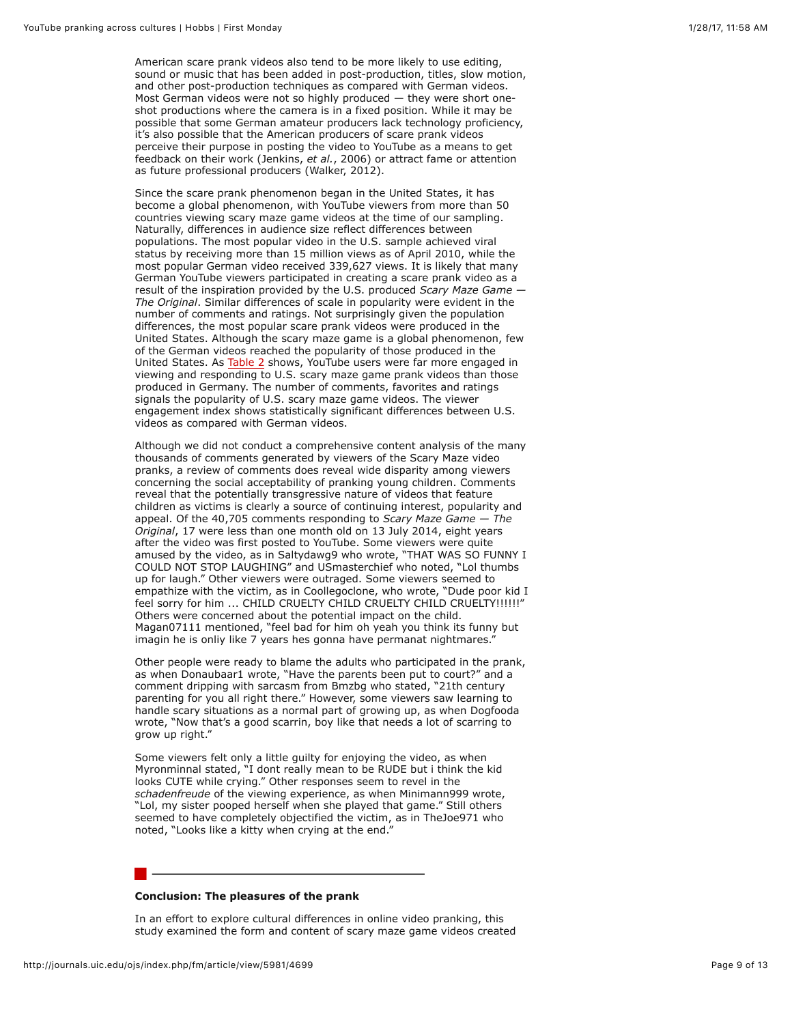American scare prank videos also tend to be more likely to use editing, sound or music that has been added in post-production, titles, slow motion, and other post-production techniques as compared with German videos. Most German videos were not so highly produced — they were short oneshot productions where the camera is in a fixed position. While it may be possible that some German amateur producers lack technology proficiency, it's also possible that the American producers of scare prank videos perceive their purpose in posting the video to YouTube as a means to get feedback on their work (Jenkins, *et al.*, 2006) or attract fame or attention as future professional producers (Walker, 2012).

Since the scare prank phenomenon began in the United States, it has become a global phenomenon, with YouTube viewers from more than 50 countries viewing scary maze game videos at the time of our sampling. Naturally, differences in audience size reflect differences between populations. The most popular video in the U.S. sample achieved viral status by receiving more than 15 million views as of April 2010, while the most popular German video received 339,627 views. It is likely that many German YouTube viewers participated in creating a scare prank video as a result of the inspiration provided by the U.S. produced *Scary Maze Game — The Original*. Similar differences of scale in popularity were evident in the number of comments and ratings. Not surprisingly given the population differences, the most popular scare prank videos were produced in the United States. Although the scary maze game is a global phenomenon, few of the German videos reached the popularity of those produced in the United States. As **Table 2** shows, YouTube users were far more engaged in viewing and responding to U.S. scary maze game prank videos than those produced in Germany. The number of comments, favorites and ratings signals the popularity of U.S. scary maze game videos. The viewer engagement index shows statistically significant differences between U.S. videos as compared with German videos.

Although we did not conduct a comprehensive content analysis of the many thousands of comments generated by viewers of the Scary Maze video pranks, a review of comments does reveal wide disparity among viewers concerning the social acceptability of pranking young children. Comments reveal that the potentially transgressive nature of videos that feature children as victims is clearly a source of continuing interest, popularity and appeal. Of the 40,705 comments responding to *Scary Maze Game — The Original*, 17 were less than one month old on 13 July 2014, eight years after the video was first posted to YouTube. Some viewers were quite amused by the video, as in Saltydawg9 who wrote, "THAT WAS SO FUNNY I COULD NOT STOP LAUGHING" and USmasterchief who noted, "Lol thumbs up for laugh." Other viewers were outraged. Some viewers seemed to empathize with the victim, as in Coollegoclone, who wrote, "Dude poor kid I feel sorry for him ... CHILD CRUELTY CHILD CRUELTY CHILD CRUELTY!!!!!!" Others were concerned about the potential impact on the child. Magan07111 mentioned, "feel bad for him oh yeah you think its funny but imagin he is onliy like 7 years hes gonna have permanat nightmares."

Other people were ready to blame the adults who participated in the prank, as when Donaubaar1 wrote, "Have the parents been put to court?" and a comment dripping with sarcasm from Bmzbg who stated, "21th century parenting for you all right there." However, some viewers saw learning to handle scary situations as a normal part of growing up, as when Dogfooda wrote, "Now that's a good scarrin, boy like that needs a lot of scarring to grow up right."

Some viewers felt only a little guilty for enjoying the video, as when Myronminnal stated, "I dont really mean to be RUDE but i think the kid looks CUTE while crying." Other responses seem to revel in the *schadenfreude* of the viewing experience, as when Minimann999 wrote, "Lol, my sister pooped herself when she played that game." Still others seemed to have completely objectified the victim, as in TheJoe971 who noted, "Looks like a kitty when crying at the end."

## **Conclusion: The pleasures of the prank**

In an effort to explore cultural differences in online video pranking, this study examined the form and content of scary maze game videos created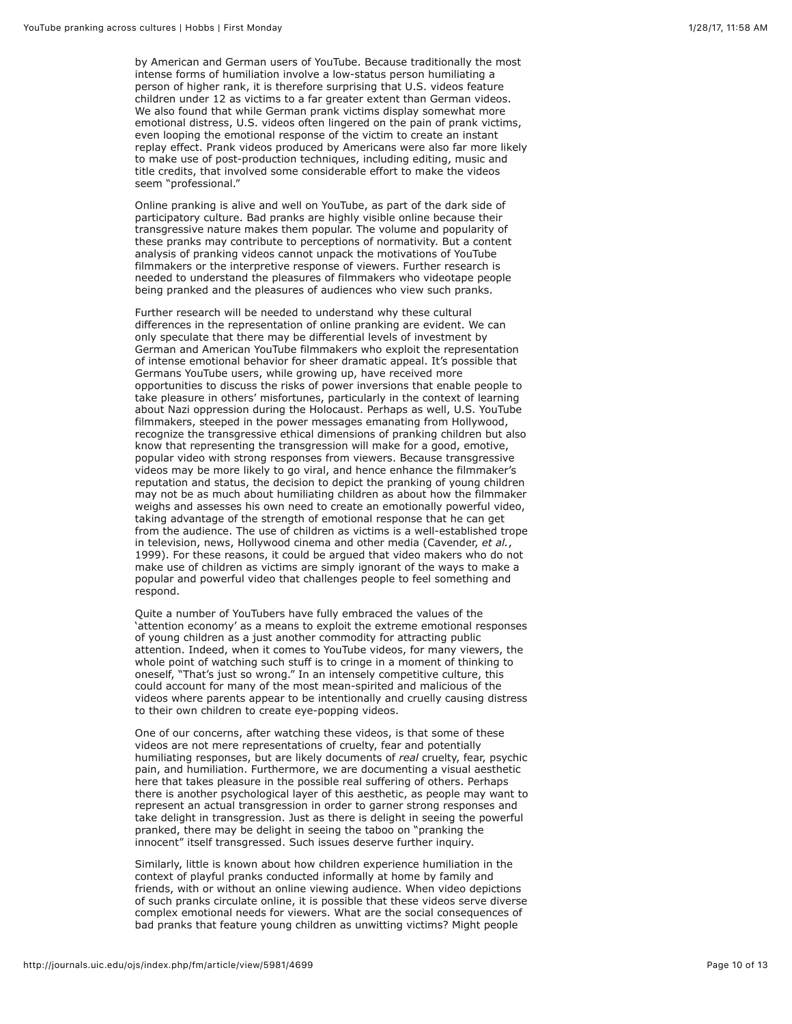by American and German users of YouTube. Because traditionally the most intense forms of humiliation involve a low-status person humiliating a person of higher rank, it is therefore surprising that U.S. videos feature children under 12 as victims to a far greater extent than German videos. We also found that while German prank victims display somewhat more emotional distress, U.S. videos often lingered on the pain of prank victims, even looping the emotional response of the victim to create an instant replay effect. Prank videos produced by Americans were also far more likely to make use of post-production techniques, including editing, music and title credits, that involved some considerable effort to make the videos seem "professional."

Online pranking is alive and well on YouTube, as part of the dark side of participatory culture. Bad pranks are highly visible online because their transgressive nature makes them popular. The volume and popularity of these pranks may contribute to perceptions of normativity. But a content analysis of pranking videos cannot unpack the motivations of YouTube filmmakers or the interpretive response of viewers. Further research is needed to understand the pleasures of filmmakers who videotape people being pranked and the pleasures of audiences who view such pranks.

Further research will be needed to understand why these cultural differences in the representation of online pranking are evident. We can only speculate that there may be differential levels of investment by German and American YouTube filmmakers who exploit the representation of intense emotional behavior for sheer dramatic appeal. It's possible that Germans YouTube users, while growing up, have received more opportunities to discuss the risks of power inversions that enable people to take pleasure in others' misfortunes, particularly in the context of learning about Nazi oppression during the Holocaust. Perhaps as well, U.S. YouTube filmmakers, steeped in the power messages emanating from Hollywood, recognize the transgressive ethical dimensions of pranking children but also know that representing the transgression will make for a good, emotive, popular video with strong responses from viewers. Because transgressive videos may be more likely to go viral, and hence enhance the filmmaker's reputation and status, the decision to depict the pranking of young children may not be as much about humiliating children as about how the filmmaker weighs and assesses his own need to create an emotionally powerful video, taking advantage of the strength of emotional response that he can get from the audience. The use of children as victims is a well-established trope in television, news, Hollywood cinema and other media (Cavender, *et al.*, 1999). For these reasons, it could be argued that video makers who do not make use of children as victims are simply ignorant of the ways to make a popular and powerful video that challenges people to feel something and respond.

Quite a number of YouTubers have fully embraced the values of the 'attention economy' as a means to exploit the extreme emotional responses of young children as a just another commodity for attracting public attention. Indeed, when it comes to YouTube videos, for many viewers, the whole point of watching such stuff is to cringe in a moment of thinking to oneself, "That's just so wrong." In an intensely competitive culture, this could account for many of the most mean-spirited and malicious of the videos where parents appear to be intentionally and cruelly causing distress to their own children to create eye-popping videos.

One of our concerns, after watching these videos, is that some of these videos are not mere representations of cruelty, fear and potentially humiliating responses, but are likely documents of *real* cruelty, fear, psychic pain, and humiliation. Furthermore, we are documenting a visual aesthetic here that takes pleasure in the possible real suffering of others. Perhaps there is another psychological layer of this aesthetic, as people may want to represent an actual transgression in order to garner strong responses and take delight in transgression. Just as there is delight in seeing the powerful pranked, there may be delight in seeing the taboo on "pranking the innocent" itself transgressed. Such issues deserve further inquiry.

Similarly, little is known about how children experience humiliation in the context of playful pranks conducted informally at home by family and friends, with or without an online viewing audience. When video depictions of such pranks circulate online, it is possible that these videos serve diverse complex emotional needs for viewers. What are the social consequences of bad pranks that feature young children as unwitting victims? Might people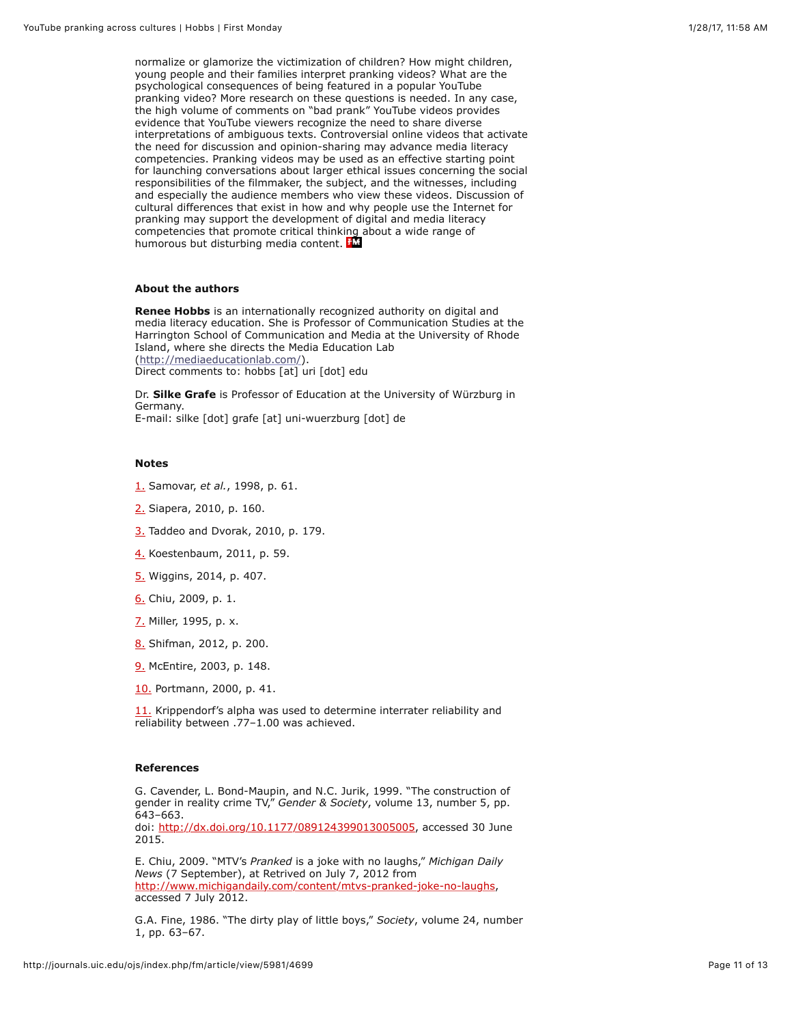normalize or glamorize the victimization of children? How might children, young people and their families interpret pranking videos? What are the psychological consequences of being featured in a popular YouTube pranking video? More research on these questions is needed. In any case, the high volume of comments on "bad prank" YouTube videos provides evidence that YouTube viewers recognize the need to share diverse interpretations of ambiguous texts. Controversial online videos that activate the need for discussion and opinion-sharing may advance media literacy competencies. Pranking videos may be used as an effective starting point for launching conversations about larger ethical issues concerning the social responsibilities of the filmmaker, the subject, and the witnesses, including and especially the audience members who view these videos. Discussion of cultural differences that exist in how and why people use the Internet for pranking may support the development of digital and media literacy competencies that promote critical thinking about a wide range of humorous but disturbing media content.

#### **About the authors**

**Renee Hobbs** is an internationally recognized authority on digital and media literacy education. She is Professor of Communication Studies at the Harrington School of Communication and Media at the University of Rhode Island, where she directs the Media Education Lab ([http://mediaeducationlab.com/\)](http://mediaeducationlab.com/). Direct comments to: hobbs [at] uri [dot] edu

Dr. **Silke Grafe** is Professor of Education at the University of Würzburg in Germany. E-mail: silke [dot] grafe [at] uni-wuerzburg [dot] de

#### **Notes**

- [1.](http://journals.uic.edu/ojs/index.php/fm/article/view/5981/4699#1a) Samovar, *et al.*, 1998, p. 61.
- [2.](http://journals.uic.edu/ojs/index.php/fm/article/view/5981/4699#2a) Siapera, 2010, p. 160.
- [3.](http://journals.uic.edu/ojs/index.php/fm/article/view/5981/4699#3a) Taddeo and Dvorak, 2010, p. 179.
- [4.](http://journals.uic.edu/ojs/index.php/fm/article/view/5981/4699#4a) Koestenbaum, 2011, p. 59.
- [5.](http://journals.uic.edu/ojs/index.php/fm/article/view/5981/4699#5a) Wiggins, 2014, p. 407.
- [6.](http://journals.uic.edu/ojs/index.php/fm/article/view/5981/4699#6a) Chiu, 2009, p. 1.
- [7.](http://journals.uic.edu/ojs/index.php/fm/article/view/5981/4699#7a) Miller, 1995, p. x.
- [8.](http://journals.uic.edu/ojs/index.php/fm/article/view/5981/4699#8a) Shifman, 2012, p. 200.
- [9.](http://journals.uic.edu/ojs/index.php/fm/article/view/5981/4699#9a) McEntire, 2003, p. 148.
- [10.](http://journals.uic.edu/ojs/index.php/fm/article/view/5981/4699#10a) Portmann, 2000, p. 41.

[11.](http://journals.uic.edu/ojs/index.php/fm/article/view/5981/4699#11a) Krippendorf's alpha was used to determine interrater reliability and reliability between .77–1.00 was achieved.

#### **References**

G. Cavender, L. Bond-Maupin, and N.C. Jurik, 1999. "The construction of gender in reality crime TV," *Gender & Society*, volume 13, number 5, pp. 643–663.

doi:<http://dx.doi.org/10.1177/089124399013005005>, accessed 30 June 2015.

E. Chiu, 2009. "MTV's *Pranked* is a joke with no laughs," *Michigan Daily News* (7 September), at Retrived on July 7, 2012 from [http://www.michigandaily.com/content/mtvs-pranked-joke-no-laughs,](http://www.michigandaily.com/content/mtvs-pranked-joke-no-laughs) accessed 7 July 2012.

G.A. Fine, 1986. "The dirty play of little boys," *Society*, volume 24, number 1, pp. 63–67.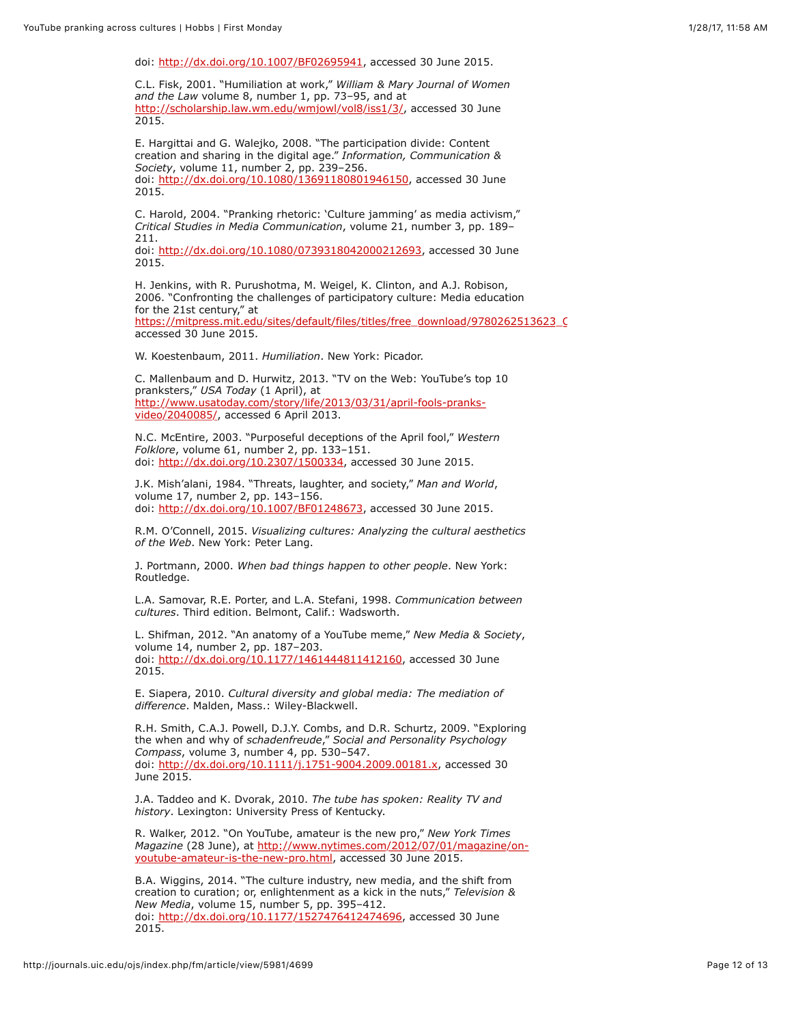doi: [http://dx.doi.org/10.1007/BF02695941,](http://dx.doi.org/10.1007/BF02695941) accessed 30 June 2015.

C.L. Fisk, 2001. "Humiliation at work," *William & Mary Journal of Women and the Law* volume 8, number 1, pp. 73–95, and at <http://scholarship.law.wm.edu/wmjowl/vol8/iss1/3/>, accessed 30 June 2015.

E. Hargittai and G. Walejko, 2008. "The participation divide: Content creation and sharing in the digital age." *Information, Communication & Society*, volume 11, number 2, pp. 239–256. doi: [http://dx.doi.org/10.1080/13691180801946150,](http://dx.doi.org/10.1080/13691180801946150) accessed 30 June 2015.

C. Harold, 2004. "Pranking rhetoric: 'Culture jamming' as media activism," *Critical Studies in Media Communication*, volume 21, number 3, pp. 189– 211.

doi:<http://dx.doi.org/10.1080/0739318042000212693>, accessed 30 June 2015.

H. Jenkins, with R. Purushotma, M. Weigel, K. Clinton, and A.J. Robison, 2006. "Confronting the challenges of participatory culture: Media education for the 21st century," at [https://mitpress.mit.edu/sites/default/files/titles/free\\_download/9780262513623\\_C](https://mitpress.mit.edu/sites/default/files/titles/free_download/9780262513623_Confronting_the_Challenges.pdf) accessed 30 June 2015.

W. Koestenbaum, 2011. *Humiliation*. New York: Picador.

C. Mallenbaum and D. Hurwitz, 2013. "TV on the Web: YouTube's top 10 pranksters," *USA Today* (1 April), at [http://www.usatoday.com/story/life/2013/03/31/april-fools-pranks](http://www.usatoday.com/story/life/2013/03/31/april-fools-pranks-video/2040085/)video/2040085/, accessed 6 April 2013.

N.C. McEntire, 2003. "Purposeful deceptions of the April fool," *Western Folklore*, volume 61, number 2, pp. 133–151. doi: [http://dx.doi.org/10.2307/1500334,](http://dx.doi.org/10.2307/1500334) accessed 30 June 2015.

J.K. Mish'alani, 1984. "Threats, laughter, and society," *Man and World*, volume 17, number 2, pp. 143–156. doi: [http://dx.doi.org/10.1007/BF01248673,](http://dx.doi.org/10.1007/BF01248673) accessed 30 June 2015.

R.M. O'Connell, 2015. *Visualizing cultures: Analyzing the cultural aesthetics of the Web*. New York: Peter Lang.

J. Portmann, 2000. *When bad things happen to other people*. New York: Routledge.

L.A. Samovar, R.E. Porter, and L.A. Stefani, 1998. *Communication between cultures*. Third edition. Belmont, Calif.: Wadsworth.

L. Shifman, 2012. "An anatomy of a YouTube meme," *New Media & Society*, volume 14, number 2, pp. 187–203. doi: [http://dx.doi.org/10.1177/1461444811412160,](http://dx.doi.org/10.1177/1461444811412160) accessed 30 June 2015.

E. Siapera, 2010. *Cultural diversity and global media: The mediation of difference*. Malden, Mass.: Wiley-Blackwell.

R.H. Smith, C.A.J. Powell, D.J.Y. Combs, and D.R. Schurtz, 2009. "Exploring the when and why of *schadenfreude*," *Social and Personality Psychology Compass*, volume 3, number 4, pp. 530–547. doi:<http://dx.doi.org/10.1111/j.1751-9004.2009.00181.x>, accessed 30 June 2015.

J.A. Taddeo and K. Dvorak, 2010. *The tube has spoken: Reality TV and history*. Lexington: University Press of Kentucky.

R. Walker, 2012. "On YouTube, amateur is the new pro," *New York Times Magazine* [\(28 June\), at http://www.nytimes.com/2012/07/01/magazine/on](http://www.nytimes.com/2012/07/01/magazine/on-youtube-amateur-is-the-new-pro.html)youtube-amateur-is-the-new-pro.html, accessed 30 June 2015.

B.A. Wiggins, 2014. "The culture industry, new media, and the shift from creation to curation; or, enlightenment as a kick in the nuts," *Television & New Media*, volume 15, number 5, pp. 395–412. doi: [http://dx.doi.org/10.1177/1527476412474696,](http://dx.doi.org/10.1177/1527476412474696) accessed 30 June 2015.